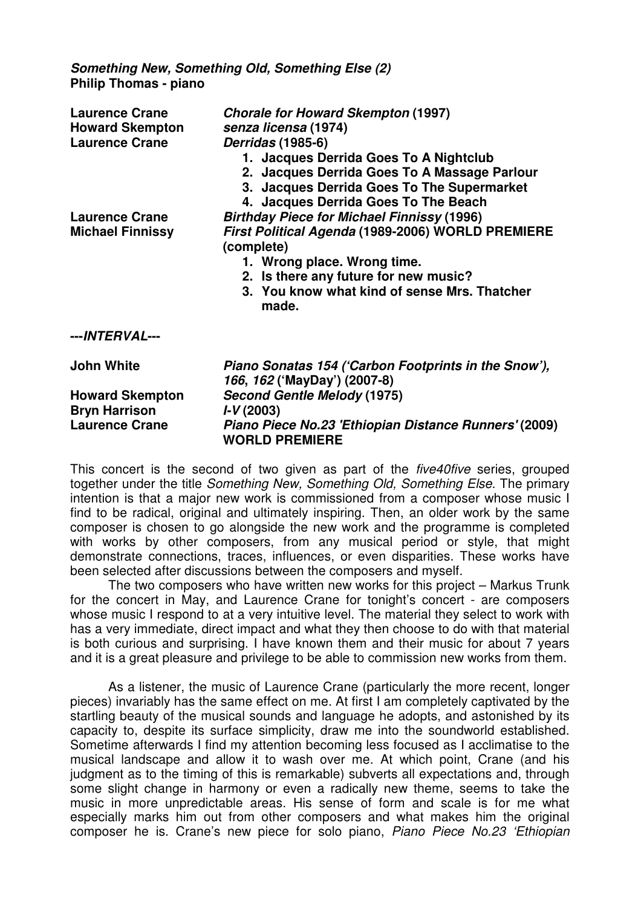**Something New, Something Old, Something Else (2) Philip Thomas - piano** 

| <b>Laurence Crane</b><br><b>Howard Skempton</b><br><b>Laurence Crane</b> | <b>Chorale for Howard Skempton (1997)</b><br>senza licensa (1974)<br>Derridas (1985-6)<br>1. Jacques Derrida Goes To A Nightclub<br>2. Jacques Derrida Goes To A Massage Parlour<br>3. Jacques Derrida Goes To The Supermarket<br>4. Jacques Derrida Goes To The Beach |
|--------------------------------------------------------------------------|------------------------------------------------------------------------------------------------------------------------------------------------------------------------------------------------------------------------------------------------------------------------|
| <b>Laurence Crane</b>                                                    | <b>Birthday Piece for Michael Finnissy (1996)</b>                                                                                                                                                                                                                      |
| <b>Michael Finnissy</b>                                                  | First Political Agenda (1989-2006) WORLD PREMIERE<br>(complete)<br>1. Wrong place. Wrong time.<br>2. Is there any future for new music?<br>3. You know what kind of sense Mrs. Thatcher<br>made.                                                                       |
| ---INTERVAL---                                                           |                                                                                                                                                                                                                                                                        |
| <b>John White</b>                                                        | Piano Sonatas 154 ('Carbon Footprints in the Snow'),<br>166, 162 ('MayDay') (2007-8)                                                                                                                                                                                   |
| <b>Howard Skempton</b>                                                   | <b>Second Gentle Melody (1975)</b>                                                                                                                                                                                                                                     |
| <b>Bryn Harrison</b>                                                     | $I-V(2003)$                                                                                                                                                                                                                                                            |
| <b>Laurence Crane</b>                                                    | Piano Piece No.23 'Ethiopian Distance Runners' (2009)<br><b>WORLD PREMIERE</b>                                                                                                                                                                                         |

This concert is the second of two given as part of the *five40five* series, grouped together under the title Something New, Something Old, Something Else. The primary intention is that a major new work is commissioned from a composer whose music I find to be radical, original and ultimately inspiring. Then, an older work by the same composer is chosen to go alongside the new work and the programme is completed with works by other composers, from any musical period or style, that might demonstrate connections, traces, influences, or even disparities. These works have been selected after discussions between the composers and myself.

 The two composers who have written new works for this project – Markus Trunk for the concert in May, and Laurence Crane for tonight's concert - are composers whose music I respond to at a very intuitive level. The material they select to work with has a very immediate, direct impact and what they then choose to do with that material is both curious and surprising. I have known them and their music for about 7 years and it is a great pleasure and privilege to be able to commission new works from them.

As a listener, the music of Laurence Crane (particularly the more recent, longer pieces) invariably has the same effect on me. At first I am completely captivated by the startling beauty of the musical sounds and language he adopts, and astonished by its capacity to, despite its surface simplicity, draw me into the soundworld established. Sometime afterwards I find my attention becoming less focused as I acclimatise to the musical landscape and allow it to wash over me. At which point, Crane (and his judgment as to the timing of this is remarkable) subverts all expectations and, through some slight change in harmony or even a radically new theme, seems to take the music in more unpredictable areas. His sense of form and scale is for me what especially marks him out from other composers and what makes him the original composer he is. Crane's new piece for solo piano, Piano Piece No.23 'Ethiopian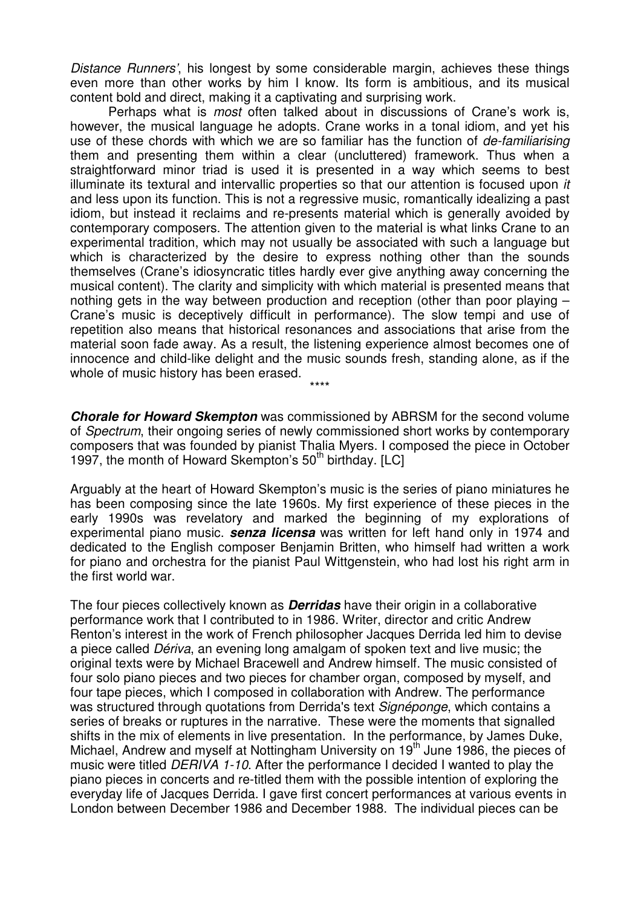Distance Runners', his longest by some considerable margin, achieves these things even more than other works by him I know. Its form is ambitious, and its musical content bold and direct, making it a captivating and surprising work.

 Perhaps what is most often talked about in discussions of Crane's work is, however, the musical language he adopts. Crane works in a tonal idiom, and yet his use of these chords with which we are so familiar has the function of de-familiarising them and presenting them within a clear (uncluttered) framework. Thus when a straightforward minor triad is used it is presented in a way which seems to best illuminate its textural and intervallic properties so that our attention is focused upon it and less upon its function. This is not a regressive music, romantically idealizing a past idiom, but instead it reclaims and re-presents material which is generally avoided by contemporary composers. The attention given to the material is what links Crane to an experimental tradition, which may not usually be associated with such a language but which is characterized by the desire to express nothing other than the sounds themselves (Crane's idiosyncratic titles hardly ever give anything away concerning the musical content). The clarity and simplicity with which material is presented means that nothing gets in the way between production and reception (other than poor playing – Crane's music is deceptively difficult in performance). The slow tempi and use of repetition also means that historical resonances and associations that arise from the material soon fade away. As a result, the listening experience almost becomes one of innocence and child-like delight and the music sounds fresh, standing alone, as if the whole of music history has been erased.

**Chorale for Howard Skempton** was commissioned by ABRSM for the second volume of Spectrum, their ongoing series of newly commissioned short works by contemporary composers that was founded by pianist Thalia Myers. I composed the piece in October 1997, the month of Howard Skempton's  $50<sup>th</sup>$  birthday. [LC]

\*\*\*\*

Arguably at the heart of Howard Skempton's music is the series of piano miniatures he has been composing since the late 1960s. My first experience of these pieces in the early 1990s was revelatory and marked the beginning of my explorations of experimental piano music. **senza licensa** was written for left hand only in 1974 and dedicated to the English composer Benjamin Britten, who himself had written a work for piano and orchestra for the pianist Paul Wittgenstein, who had lost his right arm in the first world war.

The four pieces collectively known as **Derridas** have their origin in a collaborative performance work that I contributed to in 1986. Writer, director and critic Andrew Renton's interest in the work of French philosopher Jacques Derrida led him to devise a piece called Dériva, an evening long amalgam of spoken text and live music; the original texts were by Michael Bracewell and Andrew himself. The music consisted of four solo piano pieces and two pieces for chamber organ, composed by myself, and four tape pieces, which I composed in collaboration with Andrew. The performance was structured through quotations from Derrida's text Signéponge, which contains a series of breaks or ruptures in the narrative. These were the moments that signalled shifts in the mix of elements in live presentation. In the performance, by James Duke, Michael, Andrew and myself at Nottingham University on 19<sup>th</sup> June 1986, the pieces of music were titled *DERIVA 1-10*. After the performance I decided I wanted to play the piano pieces in concerts and re-titled them with the possible intention of exploring the everyday life of Jacques Derrida. I gave first concert performances at various events in London between December 1986 and December 1988. The individual pieces can be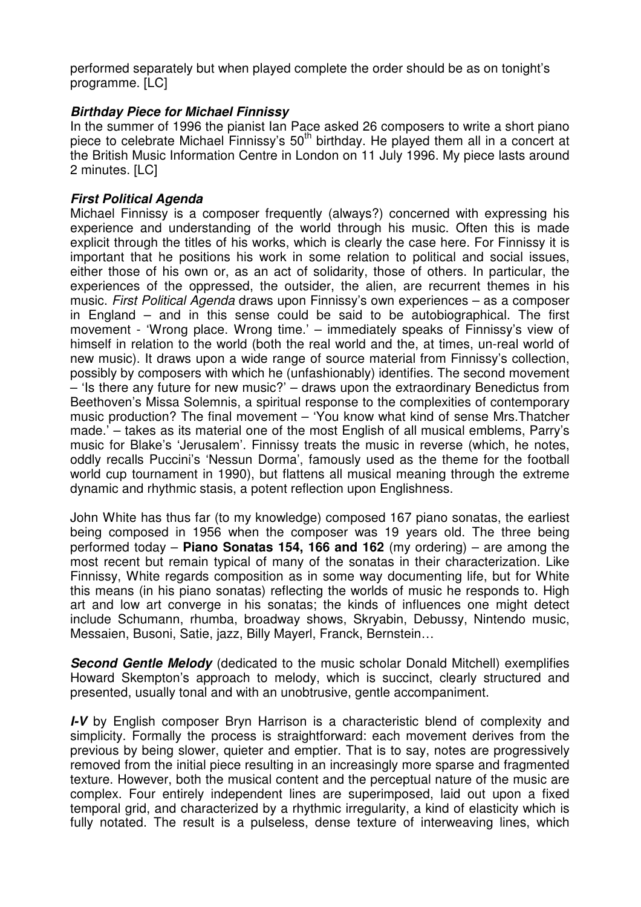performed separately but when played complete the order should be as on tonight's programme. [LC]

## **Birthday Piece for Michael Finnissy**

In the summer of 1996 the pianist Ian Pace asked 26 composers to write a short piano piece to celebrate Michael Finnissy's 50<sup>th</sup> birthday. He played them all in a concert at the British Music Information Centre in London on 11 July 1996. My piece lasts around 2 minutes. [LC]

## **First Political Agenda**

Michael Finnissy is a composer frequently (always?) concerned with expressing his experience and understanding of the world through his music. Often this is made explicit through the titles of his works, which is clearly the case here. For Finnissy it is important that he positions his work in some relation to political and social issues, either those of his own or, as an act of solidarity, those of others. In particular, the experiences of the oppressed, the outsider, the alien, are recurrent themes in his music. First Political Agenda draws upon Finnissy's own experiences – as a composer in England – and in this sense could be said to be autobiographical. The first movement - 'Wrong place. Wrong time.' – immediately speaks of Finnissy's view of himself in relation to the world (both the real world and the, at times, un-real world of new music). It draws upon a wide range of source material from Finnissy's collection, possibly by composers with which he (unfashionably) identifies. The second movement – 'Is there any future for new music?' – draws upon the extraordinary Benedictus from Beethoven's Missa Solemnis, a spiritual response to the complexities of contemporary music production? The final movement – 'You know what kind of sense Mrs.Thatcher made.' – takes as its material one of the most English of all musical emblems, Parry's music for Blake's 'Jerusalem'. Finnissy treats the music in reverse (which, he notes, oddly recalls Puccini's 'Nessun Dorma', famously used as the theme for the football world cup tournament in 1990), but flattens all musical meaning through the extreme dynamic and rhythmic stasis, a potent reflection upon Englishness.

John White has thus far (to my knowledge) composed 167 piano sonatas, the earliest being composed in 1956 when the composer was 19 years old. The three being performed today – **Piano Sonatas 154, 166 and 162** (my ordering) – are among the most recent but remain typical of many of the sonatas in their characterization. Like Finnissy, White regards composition as in some way documenting life, but for White this means (in his piano sonatas) reflecting the worlds of music he responds to. High art and low art converge in his sonatas; the kinds of influences one might detect include Schumann, rhumba, broadway shows, Skryabin, Debussy, Nintendo music, Messaien, Busoni, Satie, jazz, Billy Mayerl, Franck, Bernstein…

**Second Gentle Melody** (dedicated to the music scholar Donald Mitchell) exemplifies Howard Skempton's approach to melody, which is succinct, clearly structured and presented, usually tonal and with an unobtrusive, gentle accompaniment.

**I-V** by English composer Bryn Harrison is a characteristic blend of complexity and simplicity. Formally the process is straightforward: each movement derives from the previous by being slower, quieter and emptier. That is to say, notes are progressively removed from the initial piece resulting in an increasingly more sparse and fragmented texture. However, both the musical content and the perceptual nature of the music are complex. Four entirely independent lines are superimposed, laid out upon a fixed temporal grid, and characterized by a rhythmic irregularity, a kind of elasticity which is fully notated. The result is a pulseless, dense texture of interweaving lines, which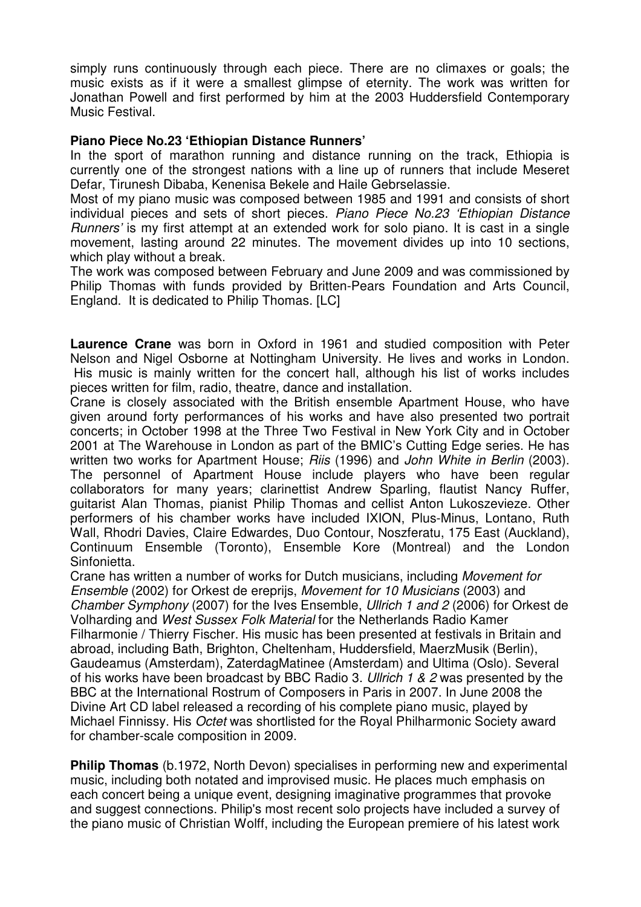simply runs continuously through each piece. There are no climaxes or goals; the music exists as if it were a smallest glimpse of eternity. The work was written for Jonathan Powell and first performed by him at the 2003 Huddersfield Contemporary Music Festival.

## **Piano Piece No.23 'Ethiopian Distance Runners'**

In the sport of marathon running and distance running on the track, Ethiopia is currently one of the strongest nations with a line up of runners that include Meseret Defar, Tirunesh Dibaba, Kenenisa Bekele and Haile Gebrselassie.

Most of my piano music was composed between 1985 and 1991 and consists of short individual pieces and sets of short pieces. Piano Piece No.23 'Ethiopian Distance Runners' is my first attempt at an extended work for solo piano. It is cast in a single movement, lasting around 22 minutes. The movement divides up into 10 sections, which play without a break.

The work was composed between February and June 2009 and was commissioned by Philip Thomas with funds provided by Britten-Pears Foundation and Arts Council, England. It is dedicated to Philip Thomas. [LC]

**Laurence Crane** was born in Oxford in 1961 and studied composition with Peter Nelson and Nigel Osborne at Nottingham University. He lives and works in London. His music is mainly written for the concert hall, although his list of works includes pieces written for film, radio, theatre, dance and installation.

Crane is closely associated with the British ensemble Apartment House, who have given around forty performances of his works and have also presented two portrait concerts; in October 1998 at the Three Two Festival in New York City and in October 2001 at The Warehouse in London as part of the BMIC's Cutting Edge series. He has written two works for Apartment House; Riis (1996) and John White in Berlin (2003). The personnel of Apartment House include players who have been regular collaborators for many years; clarinettist Andrew Sparling, flautist Nancy Ruffer, guitarist Alan Thomas, pianist Philip Thomas and cellist Anton Lukoszevieze. Other performers of his chamber works have included IXION, Plus-Minus, Lontano, Ruth Wall, Rhodri Davies, Claire Edwardes, Duo Contour, Noszferatu, 175 East (Auckland), Continuum Ensemble (Toronto), Ensemble Kore (Montreal) and the London Sinfonietta.

Crane has written a number of works for Dutch musicians, including Movement for Ensemble (2002) for Orkest de ereprijs, Movement for 10 Musicians (2003) and Chamber Symphony (2007) for the Ives Ensemble, Ullrich 1 and 2 (2006) for Orkest de Volharding and West Sussex Folk Material for the Netherlands Radio Kamer Filharmonie / Thierry Fischer. His music has been presented at festivals in Britain and abroad, including Bath, Brighton, Cheltenham, Huddersfield, MaerzMusik (Berlin), Gaudeamus (Amsterdam), ZaterdagMatinee (Amsterdam) and Ultima (Oslo). Several of his works have been broadcast by BBC Radio 3. Ullrich 1 & 2 was presented by the BBC at the International Rostrum of Composers in Paris in 2007. In June 2008 the Divine Art CD label released a recording of his complete piano music, played by Michael Finnissy. His Octet was shortlisted for the Royal Philharmonic Society award for chamber-scale composition in 2009.

**Philip Thomas** (b.1972, North Devon) specialises in performing new and experimental music, including both notated and improvised music. He places much emphasis on each concert being a unique event, designing imaginative programmes that provoke and suggest connections. Philip's most recent solo projects have included a survey of the piano music of Christian Wolff, including the European premiere of his latest work